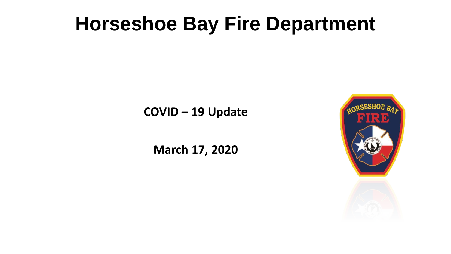**COVID – 19 Update**

**March 17, 2020**

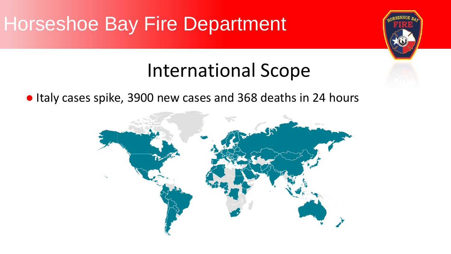#### International Scope

● Italy cases spike, 3900 new cases and 368 deaths in 24 hours

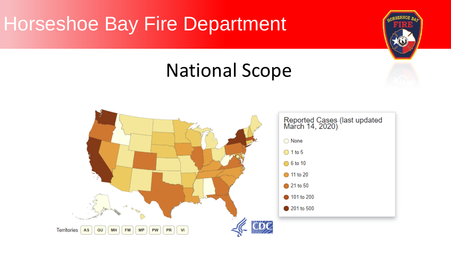#### National Scope

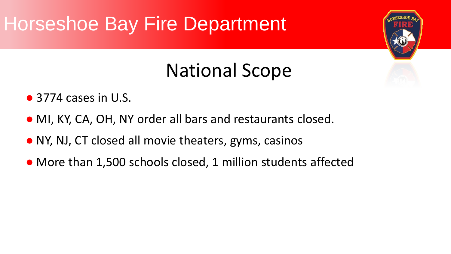# National Scope

- 3774 cases in U.S.
- MI, KY, CA, OH, NY order all bars and restaurants closed.
- NY, NJ, CT closed all movie theaters, gyms, casinos
- More than 1,500 schools closed, 1 million students affected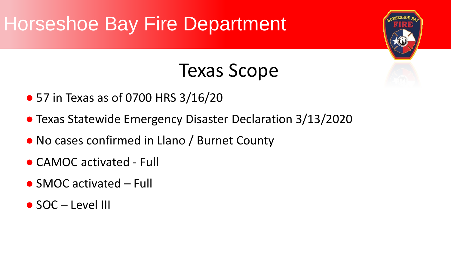#### Texas Scope

- 57 in Texas as of 0700 HRS 3/16/20
- Texas Statewide Emergency Disaster Declaration 3/13/2020
- No cases confirmed in Llano / Burnet County
- CAMOC activated Full
- $\bullet$  SMOC activated Full
- $\bullet$  SOC Level III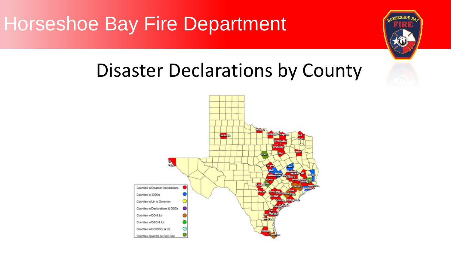# Disaster Declarations by County

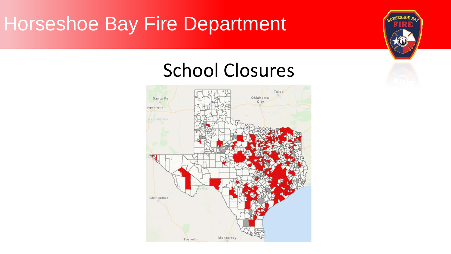#### School Closures

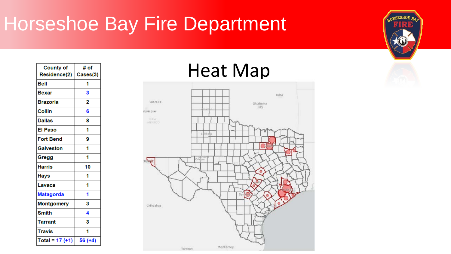| <b>County of</b>  | # of     |
|-------------------|----------|
| Residence(2)      | Cases(3) |
| Bell              | 1        |
| Bexar             | 3        |
| <b>Brazoria</b>   | 2        |
| Collin            | 6        |
| Dallas            | 8        |
| El Paso           | 1        |
| <b>Fort Bend</b>  | 9        |
| <b>Galveston</b>  | 1        |
| Gregg             | 1        |
| <b>Harris</b>     | 10       |
| Hays              |          |
| Lavaca            | 1        |
| <b>Matagorda</b>  |          |
| <b>Montgomery</b> | 3        |
| <b>Smith</b>      | 4        |
| Tarrant           | 3        |
| <b>Travis</b>     | 1        |
| Total = $17 (+1)$ | 56 (+4)  |

#### Heat Map



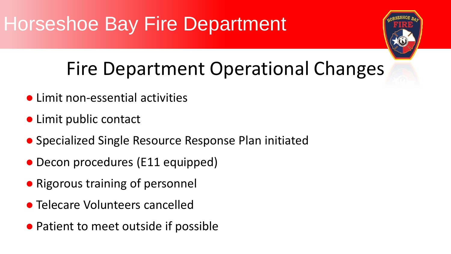#### Fire Department Operational Changes

- Limit non-essential activities
- Limit public contact
- Specialized Single Resource Response Plan initiated
- Decon procedures (E11 equipped)
- Rigorous training of personnel
- Telecare Volunteers cancelled
- Patient to meet outside if possible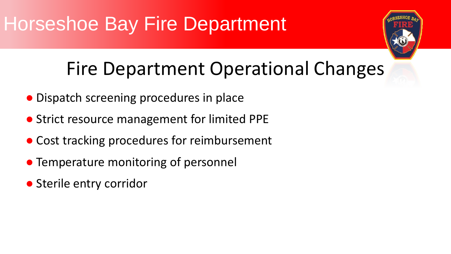#### Fire Department Operational Changes

- Dispatch screening procedures in place
- Strict resource management for limited PPE
- Cost tracking procedures for reimbursement
- Temperature monitoring of personnel
- Sterile entry corridor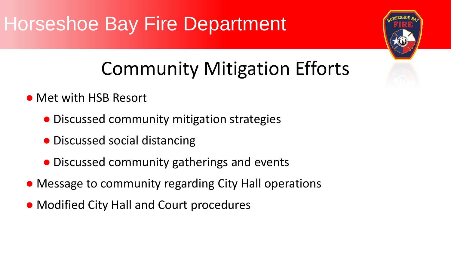# Community Mitigation Efforts

- Met with HSB Resort
	- Discussed community mitigation strategies
	- Discussed social distancing
	- Discussed community gatherings and events
- Message to community regarding City Hall operations
- Modified City Hall and Court procedures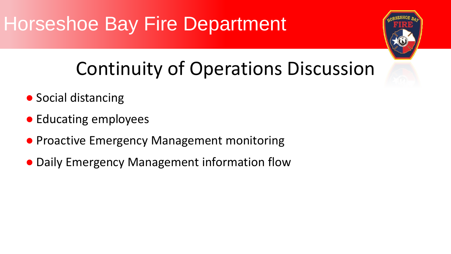#### Continuity of Operations Discussion

- Social distancing
- Educating employees
- Proactive Emergency Management monitoring
- Daily Emergency Management information flow